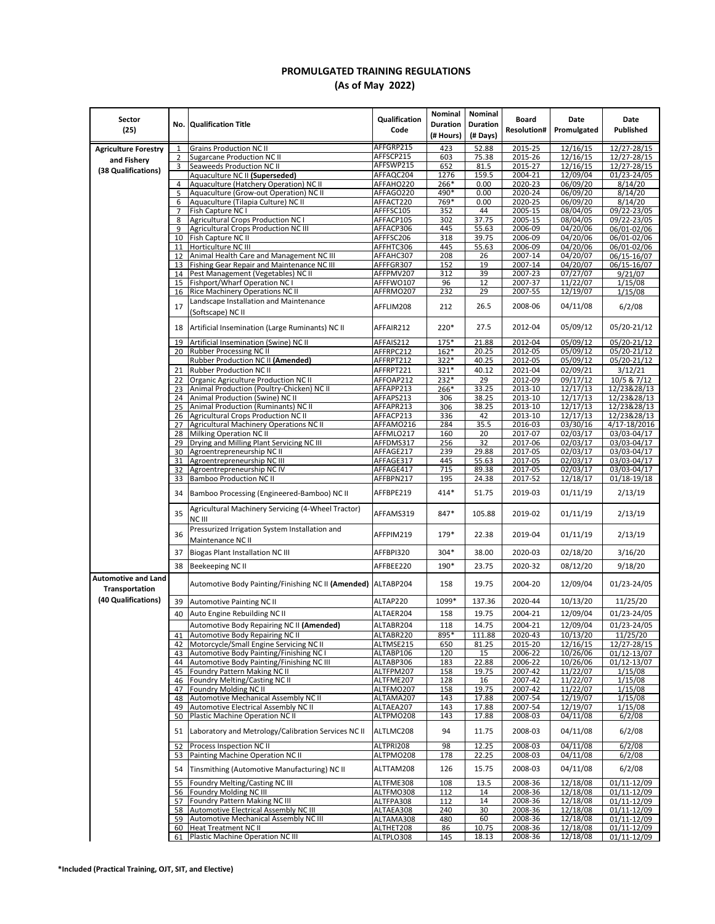## **PROMULGATED TRAINING REGULATIONS (As of May 2022)**

| Sector                      |                     |                                                                                              | Qualification          | Nominal                      | Nominal                     | Board              | Date                 | Date                       |
|-----------------------------|---------------------|----------------------------------------------------------------------------------------------|------------------------|------------------------------|-----------------------------|--------------------|----------------------|----------------------------|
| (25)                        | No.                 | Qualification Title                                                                          | Code                   | <b>Duration</b><br>(# Hours) | <b>Duration</b><br>(# Days) | <b>Resolution#</b> | Promulgated          | Published                  |
|                             |                     |                                                                                              | AFFGRP215              |                              |                             |                    |                      |                            |
| <b>Agriculture Forestry</b> | $\mathbf{1}$<br>2   | <b>Grains Production NC II</b><br><b>Sugarcane Production NC II</b>                          | AFFSCP215              | 423<br>603                   | 52.88<br>75.38              | 2015-25<br>2015-26 | 12/16/15<br>12/16/15 | 12/27-28/15<br>12/27-28/15 |
| and Fishery                 | 3                   | Seaweeds Production NC II                                                                    | AFFSWP215              | 652                          | 81.5                        | 2015-27            | 12/16/15             | $12/27 - 28/15$            |
| (38 Qualifications)         |                     | Aquaculture NC II (Superseded)                                                               | AFFAQC204              | 1276                         | 159.5                       | 2004-21            | 12/09/04             | 01/23-24/05                |
|                             | 4                   | Aquaculture (Hatchery Operation) NC II                                                       | AFFAHO220              | 266*                         | 0.00                        | 2020-23            | 06/09/20             | 8/14/20                    |
|                             | 5                   | Aquaculture (Grow-out Operation) NC II<br>Aquaculture (Tilapia Culture) NC II                | AFFAGO220              | 490*<br>769*                 | 0.00<br>0.00                | 2020-24<br>2020-25 | 06/09/20<br>06/09/20 | 8/14/20<br>8/14/20         |
|                             | 6<br>$\overline{7}$ | Fish Capture NC I                                                                            | AFFACT220<br>AFFFSC105 | 352                          | 44                          | 2005-15            | 08/04/05             | 09/22-23/05                |
|                             | 8                   | <b>Agricultural Crops Production NC I</b>                                                    | AFFACP105              | 302                          | 37.75                       | 2005-15            | 08/04/05             | 09/22-23/05                |
|                             | 9                   | <b>Agricultural Crops Production NC III</b>                                                  | AFFACP306              | 445                          | 55.63                       | 2006-09            | 04/20/06             | 06/01-02/06                |
|                             |                     | 10 Fish Capture NC II                                                                        | AFFFSC206              | 318                          | 39.75                       | 2006-09            | 04/20/06             | 06/01-02/06                |
|                             |                     | 11 Horticulture NC III                                                                       | AFFHTC306              | 445                          | 55.63                       | 2006-09            | 04/20/06             | 06/01-02/06                |
|                             |                     | 12 Animal Health Care and Management NC III<br>13 Fishing Gear Repair and Maintenance NC III | AFFAHC307<br>AFFFGR307 | 208<br>152                   | 26<br>19                    | 2007-14<br>2007-14 | 04/20/07<br>04/20/07 | 06/15-16/07<br>06/15-16/07 |
|                             |                     | 14 Pest Management (Vegetables) NC II                                                        | AFFPMV207              | 312                          | 39                          | 2007-23            | 07/27/07             | 9/21/07                    |
|                             |                     | 15 Fishport/Wharf Operation NC                                                               | AFFFWO107              | 96                           | 12                          | 2007-37            | 11/22/07             | 1/15/08                    |
|                             |                     | 16 Rice Machinery Operations NC II                                                           | AFFRMO207              | 232                          | 29                          | 2007-55            | 12/19/07             | 1/15/08                    |
|                             | 17                  | Landscape Installation and Maintenance<br>(Softscape) NC II                                  | AFFLIM208              | 212                          | 26.5                        | 2008-06            | 04/11/08             | 6/2/08                     |
|                             | 18                  | Artificial Insemination (Large Ruminants) NC II                                              | AFFAIR212              | 220*                         | 27.5                        | 2012-04            | 05/09/12             | 05/20-21/12                |
|                             | 19                  | Artificial Insemination (Swine) NC II                                                        | AFFAIS212              | 175*                         | 21.88                       | 2012-04            | 05/09/12             | 05/20-21/12                |
|                             |                     | 20 Rubber Processing NC II                                                                   | AFFRPC212              | 162*                         | 20.25                       | 2012-05            | 05/09/12             | $05/20 - 21/12$            |
|                             |                     | Rubber Production NC II (Amended)<br>21 Rubber Production NC II                              | AFFRPT212              | 322*                         | 40.25<br>40.12              | 2012-05<br>2021-04 | 05/09/12<br>02/09/21 | 05/20-21/12<br>3/12/21     |
|                             |                     | 22 Organic Agriculture Production NC II                                                      | AFFRPT221<br>AFFOAP212 | 321*<br>232*                 | 29                          | 2012-09            | 09/17/12             | 10/5 & 7/12                |
|                             |                     | 23 Animal Production (Poultry-Chicken) NC II                                                 | AFFAPP213              | 266*                         | 33.25                       | 2013-10            | 12/17/13             | 12/23&28/13                |
|                             |                     | 24 Animal Production (Swine) NC II                                                           | AFFAPS213              | 306                          | 38.25                       | 2013-10            | 12/17/13             | 12/23&28/13                |
|                             |                     | 25 Animal Production (Ruminants) NC II                                                       | AFFAPR213              | 306                          | 38.25                       | 2013-10            | 12/17/13             | 12/23&28/13                |
|                             |                     | 26 Agricultural Crops Production NC II                                                       | AFFACP213              | 336                          | 42                          | 2013-10            | 12/17/13             | 12/23&28/13                |
|                             |                     | 27 Agricultural Machinery Operations NC II                                                   | AFFAMO216              | 284                          | 35.5                        | 2016-03            | 03/30/16             | 4/17-18/2016               |
|                             |                     | 28 Milking Operation NC II<br>29 Drying and Milling Plant Servicing NC III                   | AFFMLO217<br>AFFDMS317 | 160<br>256                   | 20<br>32                    | 2017-07<br>2017-06 | 02/03/17<br>02/03/17 | 03/03-04/17<br>03/03-04/17 |
|                             |                     | 30 Agroentrepreneurship NC II                                                                | AFFAGE217              | 239                          | 29.88                       | 2017-05            | 02/03/17             | 03/03-04/17                |
|                             |                     | 31 Agroentrepreneurship NC III                                                               | AFFAGE317              | 445                          | 55.63                       | 2017-05            | 02/03/17             | 03/03-04/17                |
|                             |                     | 32 Agroentrepreneurship NC IV                                                                | AFFAGE417              | 715                          | 89.38                       | 2017-05            | 02/03/17             | 03/03-04/17                |
|                             | 34                  | 33 Bamboo Production NC II<br>Bamboo Processing (Engineered-Bamboo) NC II                    | AFFBPN217<br>AFFBPE219 | 195<br>414*                  | 24.38<br>51.75              | 2017-52<br>2019-03 | 12/18/17<br>01/11/19 | 01/18-19/18<br>2/13/19     |
|                             | 35                  | Agricultural Machinery Servicing (4-Wheel Tractor)                                           | AFFAMS319              | 847*                         | 105.88                      | 2019-02            | 01/11/19             | 2/13/19                    |
|                             | 36                  | NC III<br>Pressurized Irrigation System Installation and                                     | AFFPIM219              | 179*                         | 22.38                       | 2019-04            | 01/11/19             | 2/13/19                    |
|                             | 37                  | Maintenance NC II<br><b>Biogas Plant Installation NC III</b>                                 | AFFBPI320              | $304*$                       | 38.00                       | 2020-03            | 02/18/20             | 3/16/20                    |
|                             |                     |                                                                                              |                        | 190*                         |                             |                    |                      |                            |
| <b>Automotive and Land</b>  | 38                  | Beekeeping NC II<br>Automotive Body Painting/Finishing NC II (Amended) ALTABP204             | AFFBEE220              | 158                          | 23.75<br>19.75              | 2020-32<br>2004-20 | 08/12/20<br>12/09/04 | 9/18/20<br>01/23-24/05     |
| Transportation              |                     |                                                                                              |                        |                              |                             |                    |                      |                            |
| (40 Qualifications)         | 39                  | Automotive Painting NC II                                                                    | ALTAP220               | 1099*                        | 137.36                      | 2020-44            | 10/13/20             | 11/25/20                   |
|                             | 40                  | Auto Engine Rebuilding NC II                                                                 | ALTAER204              | 158                          | 19.75                       | 2004-21            | 12/09/04             | 01/23-24/05                |
|                             |                     | Automotive Body Repairing NC II (Amended)                                                    | ALTABR204              | 118                          | 14.75                       | 2004-21            | 12/09/04             | 01/23-24/05                |
|                             |                     | 41 Automotive Body Repairing NC II                                                           | ALTABR220              | 895*                         | 111.88                      | 2020-43            | 10/13/20             | 11/25/20                   |
|                             |                     | 42 Motorcycle/Small Engine Servicing NC II                                                   | ALTMSE215              | 650                          | 81.25                       | 2015-20<br>2006-22 | 12/16/15             | 12/27-28/15<br>01/12-13/07 |
|                             |                     | 43 Automotive Body Painting/Finishing NC I<br>44 Automotive Body Painting/Finishing NC III   | ALTABP106<br>ALTABP306 | 120<br>183                   | 15<br>22.88                 | 2006-22            | 10/26/06<br>10/26/06 | 01/12-13/07                |
|                             |                     | 45 Foundry Pattern Making NC II                                                              | ALTFPM207              | 158                          | 19.75                       | 2007-42            | 11/22/07             | 1/15/08                    |
|                             |                     | 46 Foundry Melting/Casting NC II                                                             | ALTFME207              | 128                          | 16                          | 2007-42            | 11/22/07             | 1/15/08                    |
|                             |                     | 47 Foundry Molding NC II                                                                     | ALTFMO207              | 158                          | 19.75                       | 2007-42            | 11/22/07             | 1/15/08                    |
|                             | 48                  | Automotive Mechanical Assembly NC II<br>Automotive Electrical Assembly NC II                 | ALTAMA207              | 143                          | 17.88<br>17.88              | 2007-54<br>2007-54 | 12/19/07             | 1/15/08                    |
|                             | 49                  | 50 Plastic Machine Operation NC II                                                           | ALTAEA207<br>ALTPMO208 | 143<br>143                   | 17.88                       | 2008-03            | 12/19/07<br>04/11/08 | 1/15/08<br>6/2/08          |
|                             | 51                  | Laboratory and Metrology/Calibration Services NC II                                          | ALTLMC208              | 94                           | 11.75                       | 2008-03            | 04/11/08             | 6/2/08                     |
|                             | 52                  | Process Inspection NC II                                                                     | ALTPRI208              | 98                           | 12.25                       | 2008-03            | 04/11/08             | 6/2/08                     |
|                             | 53                  | Painting Machine Operation NC II                                                             | ALTPMO208              | 178                          | 22.25                       | 2008-03            | 04/11/08             | 6/2/08                     |
|                             | 54                  | Tinsmithing (Automotive Manufacturing) NC II                                                 | ALTTAM208              | 126                          | 15.75                       | 2008-03            | 04/11/08             | 6/2/08                     |
|                             | 55                  | Foundry Melting/Casting NC III                                                               | ALTFME308              | 108                          | 13.5                        | 2008-36            | 12/18/08             | 01/11-12/09                |
|                             |                     | 56 Foundry Molding NC III                                                                    | ALTFMO308              | 112                          | 14                          | 2008-36            | 12/18/08             | 01/11-12/09                |
|                             |                     | 57 Foundry Pattern Making NC III<br>58 Automotive Electrical Assembly NC III                 | ALTFPA308<br>ALTAEA308 | 112<br>240                   | 14<br>30                    | 2008-36<br>2008-36 | 12/18/08<br>12/18/08 | 01/11-12/09<br>01/11-12/09 |
|                             | 59                  | Automotive Mechanical Assembly NC III                                                        | ALTAMA308              | 480                          | 60                          | 2008-36            | 12/18/08             | 01/11-12/09                |
|                             |                     | 60 Heat Treatment NC II                                                                      | ALTHET208              | 86                           | 10.75                       | 2008-36            | 12/18/08             | 01/11-12/09                |
|                             |                     | 61 Plastic Machine Operation NC III                                                          | ALTPLO308              | 145                          | 18.13                       | 2008-36            | 12/18/08             | 01/11-12/09                |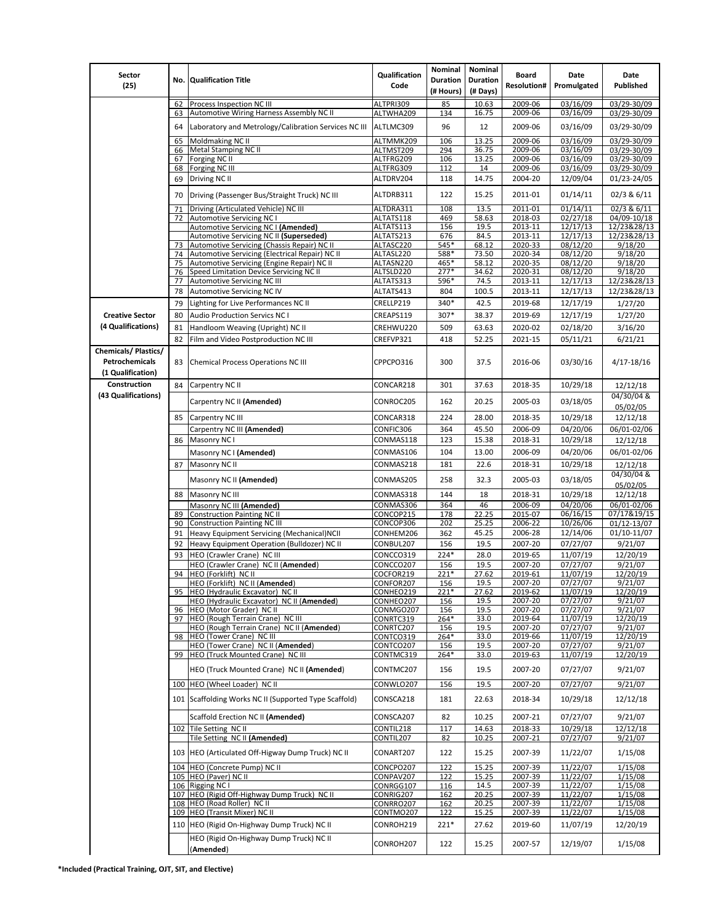| Sector                                                            |          |                                                                                               | Qualification          | Nominal         | Nominal         | <b>Board</b>       | Date                 | Date                       |
|-------------------------------------------------------------------|----------|-----------------------------------------------------------------------------------------------|------------------------|-----------------|-----------------|--------------------|----------------------|----------------------------|
| (25)                                                              |          | No. Qualification Title                                                                       | Code                   | <b>Duration</b> | <b>Duration</b> | <b>Resolution#</b> | Promulgated          | Published                  |
|                                                                   |          |                                                                                               |                        | (# Hours)       | (# Days)        |                    |                      |                            |
|                                                                   | 62<br>63 | Process Inspection NC III<br>Automotive Wiring Harness Assembly NC II                         | ALTPRI309<br>ALTWHA209 | 85<br>134       | 10.63<br>16.75  | 2009-06<br>2009-06 | 03/16/09<br>03/16/09 | 03/29-30/09<br>03/29-30/09 |
|                                                                   |          |                                                                                               |                        |                 |                 |                    |                      |                            |
|                                                                   | 64       | Laboratory and Metrology/Calibration Services NC III                                          | ALTLMC309              | 96              | 12              | 2009-06            | 03/16/09             | 03/29-30/09                |
|                                                                   | 65       | Moldmaking NC II                                                                              | ALTMMK209              | 106             | 13.25           | 2009-06            | 03/16/09             | 03/29-30/09                |
|                                                                   | 66<br>67 | <b>Metal Stamping NC II</b><br>Forging NC II                                                  | ALTMST209<br>ALTFRG209 | 294<br>106      | 36.75<br>13.25  | 2009-06<br>2009-06 | 03/16/09<br>03/16/09 | 03/29-30/09<br>03/29-30/09 |
|                                                                   | 68       | Forging NC III                                                                                | ALTFRG309              | 112             | 14              | 2009-06            | 03/16/09             | 03/29-30/09                |
|                                                                   | 69       | Driving NC II                                                                                 | ALTDRV204              | 118             | 14.75           | 2004-20            | 12/09/04             | 01/23-24/05                |
|                                                                   | 70       | Driving (Passenger Bus/Straight Truck) NC III                                                 | ALTDRB311              | 122             | 15.25           | 2011-01            | 01/14/11             | 02/3 & 6/11                |
|                                                                   | 71       | Driving (Articulated Vehicle) NC III                                                          | ALTDRA311              | 108             | 13.5            | 2011-01            | 01/14/11             | 02/3 & 6/11                |
|                                                                   | 72       | <b>Automotive Servicing NC I</b>                                                              | ALTATS118              | 469             | 58.63           | 2018-03            | 02/27/18             | 04/09-10/18                |
|                                                                   |          | Automotive Servicing NC I (Amended)                                                           | ALTATS113              | 156             | 19.5            | 2013-11            | 12/17/13             | 12/23&28/13                |
|                                                                   |          | Automotive Servicing NC II (Superseded)                                                       | ALTATS213              | 676             | 84.5            | 2013-11            | 12/17/13             | 12/23&28/13                |
|                                                                   | 73<br>74 | Automotive Servicing (Chassis Repair) NC II<br>Automotive Servicing (Electrical Repair) NC II | ALTASC220<br>ALTASL220 | 545*<br>588*    | 68.12<br>73.50  | 2020-33<br>2020-34 | 08/12/20<br>08/12/20 | 9/18/20<br>9/18/20         |
|                                                                   | 75       | Automotive Servicing (Engine Repair) NC II                                                    | ALTASN220              | 465*            | 58.12           | 2020-35            | 08/12/20             | 9/18/20                    |
|                                                                   | 76       | Speed Limitation Device Servicing NC II                                                       | ALTSLD220              | $277*$          | 34.62           | 2020-31            | 08/12/20             | 9/18/20                    |
|                                                                   | 77       | Automotive Servicing NC III                                                                   | ALTATS313              | 596*            | 74.5            | 2013-11            | 12/17/13             | 12/23&28/13                |
|                                                                   | 78       | Automotive Servicing NC IV                                                                    | ALTATS413              | 804             | 100.5           | 2013-11            | 12/17/13             | 12/23&28/13                |
|                                                                   | 79       | Lighting for Live Performances NC II                                                          | CRELLP219              | 340*            | 42.5            | 2019-68            | 12/17/19             | 1/27/20                    |
| <b>Creative Sector</b>                                            | 80       | <b>Audio Production Servics NC I</b>                                                          | CREAPS119              | 307*            | 38.37           | 2019-69            | 12/17/19             | 1/27/20                    |
| (4 Qualifications)                                                | 81       | Handloom Weaving (Upright) NC II                                                              | CREHWU220              | 509             | 63.63           | 2020-02            | 02/18/20             | 3/16/20                    |
|                                                                   | 82       | Film and Video Postproduction NC III                                                          | CREFVP321              | 418             | 52.25           | 2021-15            | 05/11/21             | 6/21/21                    |
| <b>Chemicals/Plastics/</b><br>Petrochemicals<br>(1 Qualification) | 83       | Chemical Process Operations NC III                                                            | CPPCPO316              | 300             | 37.5            | 2016-06            | 03/30/16             | 4/17-18/16                 |
| Construction                                                      | 84       | Carpentry NC II                                                                               | CONCAR218              | 301             | 37.63           | 2018-35            | 10/29/18             | 12/12/18                   |
| (43 Qualifications)                                               |          | Carpentry NC II (Amended)                                                                     | CONROC205              | 162             | 20.25           | 2005-03            | 03/18/05             | 04/30/04 &<br>05/02/05     |
|                                                                   | 85       | Carpentry NC III                                                                              | CONCAR318              | 224             | 28.00           | 2018-35            | 10/29/18             | 12/12/18                   |
|                                                                   |          | Carpentry NC III (Amended)                                                                    | CONFIC306              | 364             | 45.50           | 2006-09            | 04/20/06             | 06/01-02/06                |
|                                                                   |          | 86 Masonry NC I                                                                               | CONMAS118              | 123             | 15.38           | 2018-31            | 10/29/18             | 12/12/18                   |
|                                                                   |          | Masonry NC I (Amended)                                                                        | CONMAS106              | 104             | 13.00           | 2006-09            | 04/20/06             | 06/01-02/06                |
|                                                                   | 87       | Masonry NC II                                                                                 | CONMAS218              | 181             | 22.6            | 2018-31            | 10/29/18             | 12/12/18                   |
|                                                                   |          |                                                                                               |                        |                 |                 |                    |                      | 04/30/04 &                 |
|                                                                   |          | Masonry NC II (Amended)                                                                       | CONMAS205              | 258             | 32.3            | 2005-03            | 03/18/05             | 05/02/05                   |
|                                                                   | 88       | Masonry NC III                                                                                | CONMAS318              | 144             | 18              | 2018-31            | 10/29/18             | 12/12/18                   |
|                                                                   |          | Masonry NC III (Amended)                                                                      | CONMAS306              | 364             | 46              | 2006-09            | 04/20/06             | 06/01-02/06                |
|                                                                   | 89       | <b>Construction Painting NC II</b>                                                            | CONCOP215              | 178             | 22.25           | 2015-07<br>2006-22 | 06/16/15             | 07/17&19/15                |
|                                                                   | 90<br>91 | <b>Construction Painting NC III</b><br>Heavy Equipment Servicing (Mechanical) NCII            | CONCOP306<br>CONHEM206 | 202<br>362      | 25.25<br>45.25  | 2006-28            | 10/26/06<br>12/14/06 | 01/12-13/07<br>01/10-11/07 |
|                                                                   | 92       | Heavy Equipment Operation (Bulldozer) NC II                                                   | CONBUL207              | 156             | 19.5            | 2007-20            | 07/27/07             | 9/21/07                    |
|                                                                   | 93       | HEO (Crawler Crane) NC III                                                                    | CONCCO319              | 224*            | 28.0            | 2019-65            | 11/07/19             | 12/20/19                   |
|                                                                   |          | HEO (Crawler Crane) NC II (Amended)                                                           | CONCCO207              | 156             | 19.5            | 2007-20            | 07/27/07             | 9/21/07                    |
|                                                                   | 94       | HEO (Forklift) NC II                                                                          | COCFOR219              | $221*$          | 27.62           | 2019-61            | 11/07/19             | 12/20/19                   |
|                                                                   |          | HEO (Forklift) NC II (Amended)                                                                | CONFOR207              | 156             | 19.5            | 2007-20            | 07/27/07             | 9/21/07                    |
|                                                                   |          | 95   HEO (Hydraulic Excavator) NC II                                                          | CONHEO219              | $221*$          | 27.62           | 2019-62            | 11/07/19             | 12/20/19                   |
|                                                                   |          | HEO (Hydraulic Excavator) NC II (Amended)                                                     | CONHEO207              | 156             | 19.5            | 2007-20            | 07/27/07             | 9/21/07                    |
|                                                                   |          | 96 HEO (Motor Grader) NC II<br>97 HEO (Rough Terrain Crane) NC III                            | CONMGO207<br>CONRTC319 | 156<br>264*     | 19.5<br>33.0    | 2007-20<br>2019-64 | 07/27/07<br>11/07/19 | 9/21/07<br>12/20/19        |
|                                                                   |          | HEO (Rough Terrain Crane) NC II (Amended)                                                     | CONRTC207              | 156             | 19.5            | 2007-20            | 07/27/07             | 9/21/07                    |
|                                                                   | 98       | <b>HEO (Tower Crane) NC III</b>                                                               | CONTCO319              | 264*            | 33.0            | 2019-66            | 11/07/19             | 12/20/19                   |
|                                                                   |          | HEO (Tower Crane) NC II (Amended)                                                             | CONTCO207              | 156             | 19.5            | 2007-20            | 07/27/07             | 9/21/07                    |
|                                                                   |          | 99 HEO (Truck Mounted Crane) NC III<br>HEO (Truck Mounted Crane) NC II (Amended)              | CONTMC319<br>CONTMC207 | 264*<br>156     | 33.0<br>19.5    | 2019-63<br>2007-20 | 11/07/19<br>07/27/07 | 12/20/19<br>9/21/07        |
|                                                                   |          | 100 HEO (Wheel Loader) NC II                                                                  | CONWLO207              | 156             | 19.5            | 2007-20            | 07/27/07             | 9/21/07                    |
|                                                                   |          | 101 Scaffolding Works NC II (Supported Type Scaffold)                                         | CONSCA218              | 181             | 22.63           | 2018-34            | 10/29/18             | 12/12/18                   |
|                                                                   |          | Scaffold Erection NC II (Amended)                                                             | CONSCA207              | 82              | 10.25           | 2007-21            | 07/27/07             | 9/21/07                    |
|                                                                   |          | 102 Tile Setting NC II                                                                        | CONTIL218              | 117             | 14.63           | 2018-33            | 10/29/18             | 12/12/18                   |
|                                                                   |          | Tile Setting NC II (Amended)<br>103 HEO (Articulated Off-Higway Dump Truck) NC II             | CONTIL207<br>CONART207 | 82<br>122       | 10.25<br>15.25  | 2007-21<br>2007-39 | 07/27/07<br>11/22/07 | 9/21/07<br>1/15/08         |
|                                                                   |          | 104 HEO (Concrete Pump) NC II                                                                 | CONCPO207              | 122             | 15.25           | 2007-39            | 11/22/07             | 1/15/08                    |
|                                                                   |          | 105 HEO (Paver) NC II                                                                         | CONPAV207              | 122             | 15.25           | 2007-39            | 11/22/07             | 1/15/08                    |
|                                                                   |          | 106 Rigging NC I                                                                              | CONRGG107              | 116             | 14.5            | 2007-39            | 11/22/07             | 1/15/08                    |
|                                                                   |          | 107 HEO (Rigid Off-Highway Dump Truck) NC II                                                  | CONRIG207              | 162             | 20.25           | 2007-39            | 11/22/07             | 1/15/08                    |
|                                                                   |          | 108 HEO (Road Roller) NC II                                                                   | CONRRO207              | 162             | 20.25           | 2007-39            | 11/22/07             | 1/15/08                    |
|                                                                   |          | 109 HEO (Transit Mixer) NC II                                                                 | CONTMO207              | 122             | 15.25           | 2007-39            | 11/22/07             | 1/15/08                    |
|                                                                   |          | 110 HEO (Rigid On-Highway Dump Truck) NC II<br>HEO (Rigid On-Highway Dump Truck) NC II        | CONROH219<br>CONROH207 | $221*$<br>122   | 27.62<br>15.25  | 2019-60<br>2007-57 | 11/07/19<br>12/19/07 | 12/20/19<br>1/15/08        |
|                                                                   |          | (Amended)                                                                                     |                        |                 |                 |                    |                      |                            |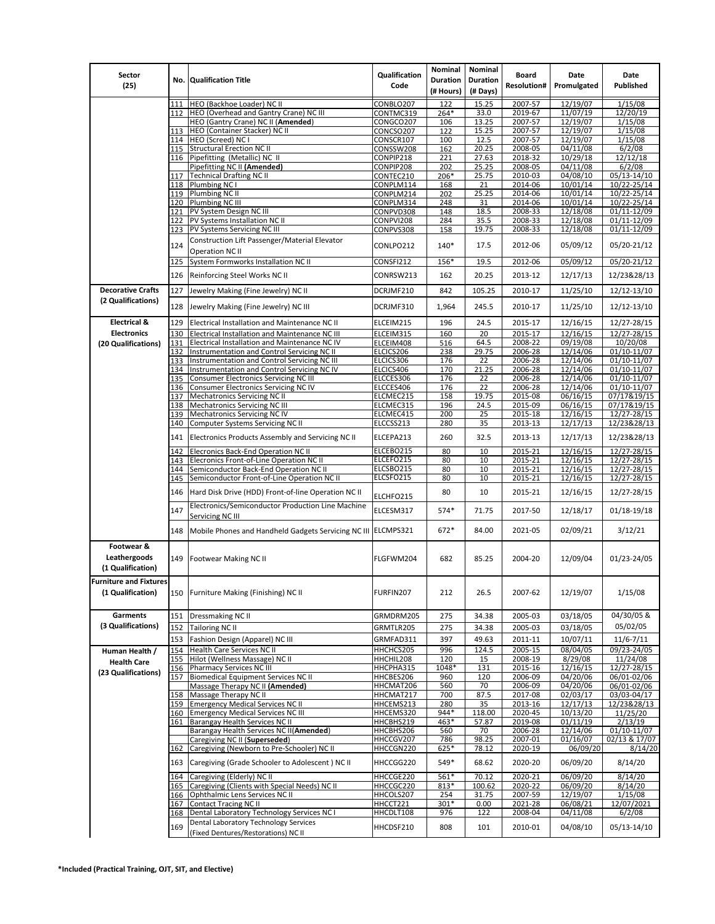| Sector                                             |            |                                                                                               | Qualification          | Nominal                      | Nominal                     | <b>Board</b>       | Date                 | Date                                     |
|----------------------------------------------------|------------|-----------------------------------------------------------------------------------------------|------------------------|------------------------------|-----------------------------|--------------------|----------------------|------------------------------------------|
| (25)                                               |            | <b>No. Qualification Title</b>                                                                | Code                   | <b>Duration</b><br>(# Hours) | <b>Duration</b><br>(# Days) | <b>Resolution#</b> | Promulgated          | Published                                |
|                                                    | 111        | HEO (Backhoe Loader) NC II                                                                    | CONBLO207              | 122                          | 15.25                       | 2007-57            | 12/19/07             | 1/15/08                                  |
|                                                    | 112        | HEO (Overhead and Gantry Crane) NC III                                                        | CONTMC319              | 264*                         | 33.0                        | 2019-67            | 11/07/19             | 12/20/19                                 |
|                                                    |            | HEO (Gantry Crane) NC II (Amended)                                                            | CONGCO207              | 106                          | 13.25                       | 2007-57            | 12/19/07             | 1/15/08                                  |
|                                                    | 113        | HEO (Container Stacker) NC II                                                                 | CONCSO207              | 122                          | 15.25                       | 2007-57            | 12/19/07             | 1/15/08                                  |
|                                                    |            | 114 HEO (Screed) NC I<br>115 Structural Erection NC II                                        | CONSCR107<br>CONSSW208 | 100<br>162                   | 12.5<br>20.25               | 2007-57<br>2008-05 | 12/19/07<br>04/11/08 | 1/15/08<br>6/2/08                        |
|                                                    |            | 116 Pipefitting (Metallic) NC II                                                              | CONPIP218              | 221                          | 27.63                       | 2018-32            | 10/29/18             | 12/12/18                                 |
|                                                    |            | Pipefitting NC II (Amended)                                                                   | CONPIP208              | 202                          | 25.25                       | 2008-05            | 04/11/08             | 6/2/08                                   |
|                                                    | 117        | <b>Technical Drafting NC II</b>                                                               | CONTEC210              | 206*                         | 25.75                       | 2010-03            | 04/08/10             | 05/13-14/10                              |
|                                                    |            | 118 Plumbing NC I<br>119 Plumbing NC II                                                       | CONPLM114<br>CONPLM214 | 168<br>202                   | 21<br>25.25                 | 2014-06<br>2014-06 | 10/01/14<br>10/01/14 | 10/22-25/14<br>10/22-25/14               |
|                                                    |            | 120 Plumbing NC III                                                                           | CONPLM314              | 248                          | 31                          | 2014-06            | 10/01/14             | 10/22-25/14                              |
|                                                    | 121        | PV System Design NC III                                                                       | CONPVD308              | 148                          | 18.5                        | 2008-33            | 12/18/08             | 01/11-12/09                              |
|                                                    | 122        | PV Systems Installation NC II                                                                 | CONPVI208              | 284                          | 35.5                        | 2008-33            | 12/18/08             | 01/11-12/09                              |
|                                                    | 123        | PV Systems Servicing NC III                                                                   | CONPVS308              | 158                          | 19.75                       | 2008-33            | 12/18/08             | 01/11-12/09                              |
|                                                    | 124        | Construction Lift Passenger/Material Elevator<br><b>Operation NC II</b>                       | CONLPO212              | 140*                         | 17.5                        | 2012-06            | 05/09/12             | 05/20-21/12                              |
|                                                    | 125        | System Formworks Installation NC II                                                           | CONSFI212              | 156*                         | 19.5                        | 2012-06            | 05/09/12             | 05/20-21/12                              |
|                                                    | 126        | Reinforcing Steel Works NC II                                                                 | CONRSW213              | 162                          | 20.25                       | 2013-12            | 12/17/13             | 12/23&28/13                              |
| <b>Decorative Crafts</b>                           | 127        | Jewelry Making (Fine Jewelry) NC II                                                           | DCRJMF210              | 842                          | 105.25                      | 2010-17            | 11/25/10             | 12/12-13/10                              |
| (2 Qualifications)                                 | 128        | Jewelry Making (Fine Jewelry) NC III                                                          | DCRJMF310              | 1,964                        | 245.5                       | 2010-17            | 11/25/10             | 12/12-13/10                              |
| <b>Electrical &amp;</b>                            | 129        | Electrical Installation and Maintenance NC II                                                 | ELCEIM215              | 196                          | 24.5                        | 2015-17            | 12/16/15             | 12/27-28/15                              |
| <b>Electronics</b>                                 | 130        | Electrical Installation and Maintenance NC III                                                | ELCEIM315              | 160                          | 20                          | 2015-17            | 12/16/15             | 12/27-28/15                              |
| (20 Qualifications)                                | 131        | Electrical Installation and Maintenance NC IV                                                 | ELCEIM408              | 516                          | 64.5                        | 2008-22            | 09/19/08             | 10/20/08                                 |
|                                                    | 132        | Instrumentation and Control Servicing NC II                                                   | ELCICS206              | 238                          | 29.75                       | 2006-28            | 12/14/06             | 01/10-11/07                              |
|                                                    | 133<br>134 | Instrumentation and Control Servicing NC III<br>Instrumentation and Control Servicing NC IV   | ELCICS306<br>ELCICS406 | 176<br>170                   | 22<br>21.25                 | 2006-28<br>2006-28 | 12/14/06<br>12/14/06 | 01/10-11/07<br>$\overline{01/10}$ -11/07 |
|                                                    | 135        | <b>Consumer Electronics Servicing NC III</b>                                                  | ELCCES306              | 176                          | 22                          | 2006-28            | 12/14/06             | 01/10-11/07                              |
|                                                    |            | 136 Consumer Electronics Servicing NC IV                                                      | ELCCES406              | 176                          | 22                          | 2006-28            | 12/14/06             | 01/10-11/07                              |
|                                                    | 137        | Mechatronics Servicing NC II                                                                  | ELCMEC215              | 158                          | 19.75                       | 2015-08            | 06/16/15             | 07/17&19/15                              |
|                                                    | 138        | <b>Mechatronics Servicing NC III</b><br>Mechatronics Servicing NC IV                          | ELCMEC315<br>ELCMEC415 | 196<br>200                   | 24.5<br>25                  | 2015-09            | 06/16/15<br>12/16/15 | 07/17&19/15                              |
|                                                    | 139<br>140 | Computer Systems Servicing NC II                                                              | ELCCSS213              | 280                          | 35                          | 2015-18<br>2013-13 | 12/17/13             | 12/27-28/15<br>12/23&28/13               |
|                                                    | 141        | Electronics Products Assembly and Servicing NC II                                             | ELCEPA213              | 260                          | 32.5                        | 2013-13            | 12/17/13             | 12/23&28/13                              |
|                                                    | 142        | Elecronics Back-End Operation NC II                                                           | ELCEBO215              | 80                           | 10                          | 2015-21            | 12/16/15             | 12/27-28/15                              |
|                                                    | 143        | Elecronics Front-of-Line Operation NC II                                                      | ELCEFO215              | 80                           | 10                          | 2015-21            | 12/16/15             | 12/27-28/15                              |
|                                                    | 144        | Semiconductor Back-End Operation NC II                                                        | ELCSBO215              | 80                           | 10                          | 2015-21            | 12/16/15             | 12/27-28/15                              |
|                                                    | 145        | Semiconductor Front-of-Line Operation NC II                                                   | ELCSFO215              | 80                           | 10                          | 2015-21            | 12/16/15             | 12/27-28/15                              |
|                                                    | 146        | Hard Disk Drive (HDD) Front-of-line Operation NC II                                           | ELCHFO215              | 80                           | 10                          | 2015-21            | 12/16/15             | 12/27-28/15                              |
|                                                    | 147        | Electronics/Semiconductor Production Line Machine<br>Servicing NC III                         | ELCESM317              | 574*                         | 71.75                       | 2017-50            | 12/18/17             | 01/18-19/18                              |
|                                                    | 148        | Mobile Phones and Handheld Gadgets Servicing NC III ELCMPS321                                 |                        | 672*                         | 84.00                       | 2021-05            | 02/09/21             | 3/12/21                                  |
| Footwear &                                         |            |                                                                                               |                        |                              |                             |                    |                      |                                          |
| Leathergoods                                       | 149        | <b>Footwear Making NC II</b>                                                                  | FLGFWM204              | 682                          | 85.25                       | 2004-20            | 12/09/04             | 01/23-24/05                              |
| (1 Qualification)                                  |            |                                                                                               |                        |                              |                             |                    |                      |                                          |
| <b>Furniture and Fixtures</b><br>(1 Qualification) | 150        | Furniture Making (Finishing) NC II                                                            | FURFIN207              | 212                          | 26.5                        | 2007-62            | 12/19/07             | 1/15/08                                  |
| Garments                                           | 151        | Dressmaking NC II                                                                             | GRMDRM205              | 275                          | 34.38                       | 2005-03            | 03/18/05             | 04/30/05 &                               |
| (3 Qualifications)                                 | 152        | <b>Tailoring NC II</b>                                                                        | GRMTLR205              | 275                          | 34.38                       | 2005-03            | 03/18/05             | 05/02/05                                 |
|                                                    | 153        | Fashion Design (Apparel) NC III                                                               | GRMFAD311              | 397                          | 49.63                       | 2011-11            | 10/07/11             | $11/6 - 7/11$                            |
| Human Health /                                     | 154        | Health Care Services NC II                                                                    | HHCHCS205              | 996                          | 124.5                       | 2005-15            | 08/04/05             | 09/23-24/05                              |
| <b>Health Care</b>                                 | 155        | Hilot (Wellness Massage) NC II                                                                | HHCHIL208              | 120                          | 15                          | 2008-19            | 8/29/08              | 11/24/08                                 |
| (23 Qualifications)                                | 156<br>157 | <b>Pharmacy Services NC III</b><br><b>Biomedical Equipment Services NC II</b>                 | HHCPHA315<br>HHCBES206 | 1048*<br>960                 | 131<br>120                  | 2015-16<br>2006-09 | 12/16/15<br>04/20/06 | 12/27-28/15<br>06/01-02/06               |
|                                                    |            | Massage Therapy NC II (Amended)                                                               | HHCMAT206              | 560                          | 70                          | 2006-09            | 04/20/06             | 06/01-02/06                              |
|                                                    | 158        | Massage Therapy NC II                                                                         | HHCMAT217              | 700                          | 87.5                        | 2017-08            | 02/03/17             | 03/03-04/17                              |
|                                                    | 159        | <b>Emergency Medical Services NC II</b>                                                       | HHCEMS213              | 280                          | 35                          | 2013-16            | 12/17/13             | 12/23&28/13                              |
|                                                    | 161        | 160 Emergency Medical Services NC III<br>Barangay Health Services NC II                       | HHCEMS320<br>HHCBHS219 | 944*<br>463*                 | 118.00<br>57.87             | 2020-45<br>2019-08 | 10/13/20<br>01/11/19 | 11/25/20<br>2/13/19                      |
|                                                    |            | Barangay Health Services NC II(Amended)                                                       | HHCBHS206              | 560                          | 70                          | 2006-28            | 12/14/06             | 01/10-11/07                              |
|                                                    |            | Caregiving NC II (Superseded)                                                                 | HHCCGV207              | 786                          | 98.25                       | 2007-01            | 01/16/07             | 02/13 & 17/07                            |
|                                                    | 162<br>163 | Caregiving (Newborn to Pre-Schooler) NC II<br>Caregiving (Grade Schooler to Adolescent) NC II | HHCCGN220<br>HHCCGG220 | 625*<br>549*                 | 78.12<br>68.62              | 2020-19<br>2020-20 | 06/09/20<br>06/09/20 | 8/14/20<br>8/14/20                       |
|                                                    | 164        | Caregiving (Elderly) NC II                                                                    | HHCCGE220              | 561*                         | 70.12                       | 2020-21            | 06/09/20             | 8/14/20                                  |
|                                                    | 165        | Caregiving (Clients with Special Needs) NC II                                                 | HHCCGC220              | 813*                         | 100.62                      | 2020-22            | 06/09/20             | 8/14/20                                  |
|                                                    |            | 166 Ophthalmic Lens Services NC II                                                            | HHCOLS207              | 254                          | 31.75                       | 2007-59            | 12/19/07             | 1/15/08                                  |
|                                                    | 167        | Contact Tracing NC II                                                                         | HHCCT221               | 301*                         | 0.00                        | 2021-28            | 06/08/21             | 12/07/2021                               |
|                                                    | 168        | Dental Laboratory Technology Services NC I<br>Dental Laboratory Technology Services           | HHCDLT108              | 976                          | 122                         | 2008-04<br>2010-01 | 04/11/08<br>04/08/10 | 6/2/08<br>05/13-14/10                    |
|                                                    | 169        | (Fixed Dentures/Restorations) NC II                                                           | HHCDSF210              | 808                          | 101                         |                    |                      |                                          |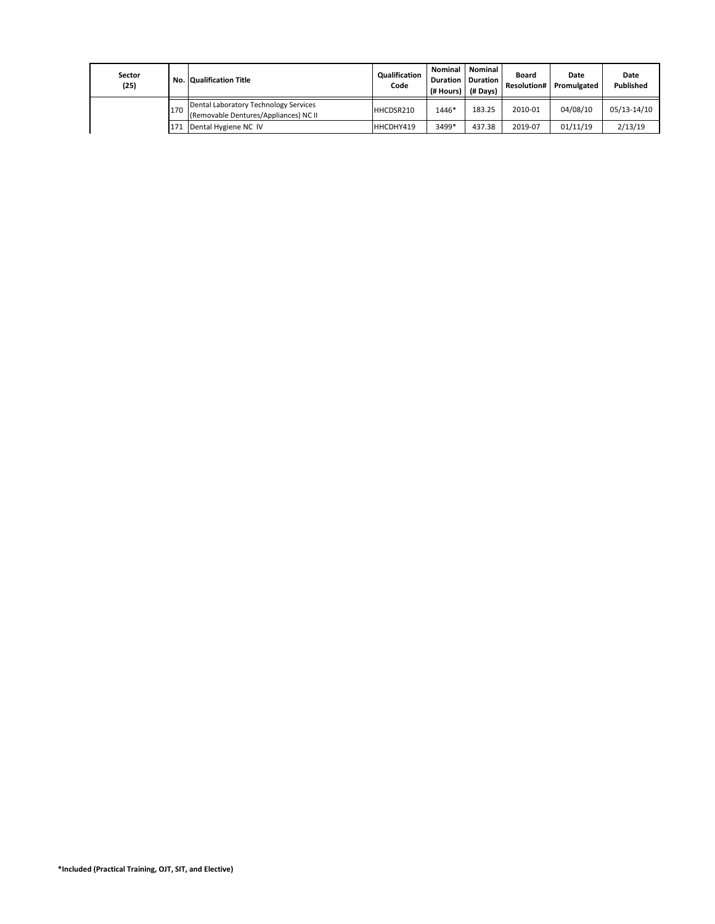| Sector<br>(25) |     | <b>No. Qualification Title</b>                                                 | <b>Qualification</b><br>Code | <b>Nominal</b><br><b>Duration</b><br>(# Hours) | <b>Nominal</b><br><b>Duration</b><br>(# Davs) | Board<br><b>Resolution#</b> | Date<br>Promulgated | Date<br>Published |
|----------------|-----|--------------------------------------------------------------------------------|------------------------------|------------------------------------------------|-----------------------------------------------|-----------------------------|---------------------|-------------------|
|                | 170 | Dental Laboratory Technology Services<br>(Removable Dentures/Appliances) NC II | HHCDSR210                    | 1446*                                          | 183.25                                        | 2010-01                     | 04/08/10            | 05/13-14/10       |
|                | 171 | Dental Hygiene NC IV                                                           | HHCDHY419                    | 3499*                                          | 437.38                                        | 2019-07                     | 01/11/19            | 2/13/19           |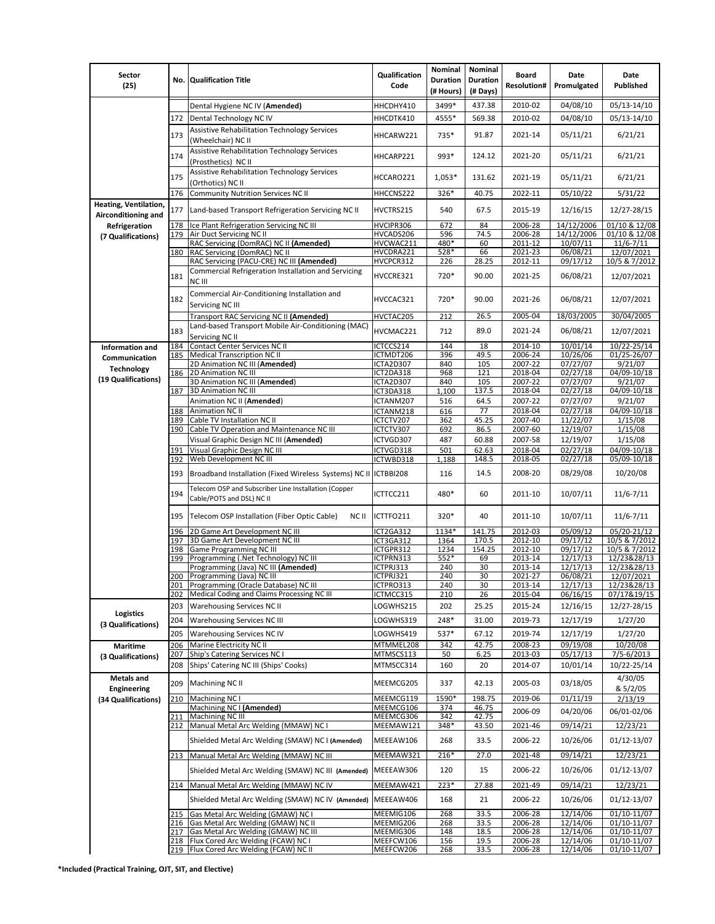| Sector<br>(25)                               |     | No. Qualification Title                                                                          | Qualification<br>Code  | Nominal<br><b>Duration</b><br>(# Hours) | Nominal<br><b>Duration</b><br>(# Days) | <b>Board</b><br><b>Resolution#</b> | Date<br>Promulgated  | Date<br>Published          |
|----------------------------------------------|-----|--------------------------------------------------------------------------------------------------|------------------------|-----------------------------------------|----------------------------------------|------------------------------------|----------------------|----------------------------|
|                                              |     | Dental Hygiene NC IV (Amended)                                                                   | HHCDHY410              | 3499*                                   | 437.38                                 | 2010-02                            | 04/08/10             | 05/13-14/10                |
|                                              | 172 | Dental Technology NC IV                                                                          | HHCDTK410              | 4555*                                   | 569.38                                 | 2010-02                            | 04/08/10             | 05/13-14/10                |
|                                              | 173 | <b>Assistive Rehabilitation Technology Services</b><br>(Wheelchair) NC II                        | HHCARW221              | 735*                                    | 91.87                                  | 2021-14                            | 05/11/21             | 6/21/21                    |
|                                              | 174 | <b>Assistive Rehabilitation Technology Services</b><br>(Prosthetics) NC II                       | HHCARP221              | 993*                                    | 124.12                                 | 2021-20                            | 05/11/21             | 6/21/21                    |
|                                              | 175 | <b>Assistive Rehabilitation Technology Services</b>                                              | HCCARO221              | 1,053*                                  | 131.62                                 | 2021-19                            | 05/11/21             | 6/21/21                    |
|                                              | 176 | (Orthotics) NC II<br><b>Community Nutrition Services NC II</b>                                   | HHCCNS222              | 326*                                    | 40.75                                  | 2022-11                            | 05/10/22             | 5/31/22                    |
| Heating, Ventilation,<br>Airconditioning and | 177 | Land-based Transport Refrigeration Servicing NC II                                               | HVCTRS215              | 540                                     | 67.5                                   | 2015-19                            | 12/16/15             | 12/27-28/15                |
| Refrigeration                                | 178 | Ice Plant Refrigeration Servicing NC III                                                         | HVCIPR306              | 672                                     | 84                                     | 2006-28                            | 14/12/2006           | 01/10 & 12/08              |
| (7 Qualifications)                           | 179 | Air Duct Servicing NC II                                                                         | HVCADS206              | 596                                     | 74.5                                   | 2006-28                            | 14/12/2006           | 01/10 & 12/08              |
|                                              |     | RAC Servicing (DomRAC) NC II (Amended)                                                           | HVCWAC211              | 480*                                    | 60                                     | 2011-12                            | 10/07/11             | $11/6 - 7/11$              |
|                                              | 180 | RAC Servicing (DomRAC) NC II                                                                     | HVCDRA221              | 528*                                    | 66                                     | 2021-23                            | 06/08/21             | 12/07/2021                 |
|                                              |     | RAC Servicing (PACU-CRE) NC III (Amended)                                                        | HVCPCR312              | 226                                     | 28.25                                  | 2012-11                            | 09/17/12             | 10/5 & 7/2012              |
|                                              | 181 | Commercial Refrigeration Installation and Servicing<br>NC III                                    | HVCCRE321              | 720*                                    | 90.00                                  | 2021-25                            | 06/08/21             | 12/07/2021                 |
|                                              | 182 | Commercial Air-Conditioning Installation and<br>Servicing NC III                                 | HVCCAC321              | 720*                                    | 90.00                                  | 2021-26                            | 06/08/21             | 12/07/2021                 |
|                                              |     | Transport RAC Servicing NC II (Amended)                                                          | HVCTAC205              | 212                                     | 26.5                                   | 2005-04                            | 18/03/2005           | 30/04/2005                 |
|                                              | 183 | Land-based Transport Mobile Air-Conditioning (MAC)<br>Servicing NC II                            | HVCMAC221              | 712                                     | 89.0                                   | 2021-24                            | 06/08/21             | 12/07/2021                 |
| <b>Information and</b>                       | 184 | <b>Contact Center Services NC II</b>                                                             | ICTCCS214              | 144                                     | 18                                     | 2014-10                            | 10/01/14             | $10/22 - 25/14$            |
| Communication                                | 185 | <b>Medical Transcription NC II</b>                                                               | ICTMDT206              | 396                                     | 49.5                                   | 2006-24                            | 10/26/06             | 01/25-26/07                |
|                                              |     | 2D Animation NC III (Amended)                                                                    | ICTA2D307              | 840                                     | 105                                    | 2007-22                            | 07/27/07             | 9/21/07                    |
| <b>Technology</b>                            | 186 | 2D Animation NC III                                                                              | ICT2DA318              | 968                                     | 121                                    | 2018-04                            | 02/27/18             | 04/09-10/18                |
| (19 Qualifications)                          |     | 3D Animation NC III (Amended)                                                                    | ICTA2D307              | 840                                     | 105                                    | 2007-22                            | 07/27/07             | 9/21/07                    |
|                                              | 187 | 3D Animation NC III                                                                              | ICT3DA318              | 1,100                                   | 137.5                                  | 2018-04                            | 02/27/18             | 04/09-10/18                |
|                                              |     | Animation NC II (Amended)                                                                        | ICTANM207              | 516                                     | 64.5                                   | 2007-22                            | 07/27/07             | 9/21/07                    |
|                                              | 188 | <b>Animation NC II</b>                                                                           | ICTANM218              | 616                                     | 77                                     | 2018-04                            | 02/27/18             | 04/09-10/18                |
|                                              | 189 | Cable TV Installation NC II                                                                      | ICTCTV207              | 362                                     | 45.25                                  | 2007-40                            | 11/22/07             | 1/15/08                    |
|                                              |     | 190 Cable TV Operation and Maintenance NC III                                                    | ICTCTV307              | 692                                     | 86.5                                   | 2007-60                            | 12/19/07             | 1/15/08                    |
|                                              |     | Visual Graphic Design NC III (Amended)                                                           | ICTVGD307              | 487                                     | 60.88                                  | 2007-58                            | 12/19/07             | 1/15/08                    |
|                                              | 191 | Visual Graphic Design NC III                                                                     | ICTVGD318              | 501                                     | 62.63                                  | 2018-04                            | 02/27/18             | 04/09-10/18                |
|                                              | 192 | Web Development NC III                                                                           | ICTWBD318              | 1,188                                   | 148.5                                  | 2018-05                            | 02/27/18             | 05/09-10/18                |
|                                              | 193 | Broadband Installation (Fixed Wireless Systems) NC II                                            | ICTBBI208              | 116                                     | 14.5                                   | 2008-20                            | 08/29/08             | 10/20/08                   |
|                                              | 194 | Telecom OSP and Subscriber Line Installation (Copper<br>Cable/POTS and DSL) NC II                | ICTTCC211              | 480*                                    | 60                                     | 2011-10                            | 10/07/11             | $11/6 - 7/11$              |
|                                              |     | 195   Telecom OSP Installation (Fiber Optic Cable)<br>NC II                                      | ICTTFO211              | 320*                                    | 40                                     | 2011-10                            | 10/07/11             | $11/6 - 7/11$              |
|                                              | 196 | 2D Game Art Development NC III                                                                   | ICT2GA312              | 1134*                                   | 141.75                                 | 2012-03                            | 05/09/12             | 05/20-21/12                |
|                                              | 197 | 3D Game Art Development NC III                                                                   | ICT3GA312              | 1364                                    | 170.5                                  | 2012-10                            | 09/17/12             | 10/5 & 7/2012              |
|                                              | 198 | <b>Game Programming NC III</b>                                                                   | ICTGPR312              | 1234                                    | 154.25                                 | 2012-10                            | 09/17/12             | 10/5 & 7/2012              |
|                                              | 199 | Programming (.Net Technology) NC III                                                             | ICTPRN313              | 552*                                    | 69                                     | 2013-14                            | 12/17/13             | 12/23&28/13                |
|                                              |     | Programming (Java) NC III (Amended)                                                              | ICTPRJ313              | 240                                     | 30                                     | 2013-14                            | 12/17/13             | 12/23&28/13                |
|                                              |     | 200 Programming (Java) NC III                                                                    | ICTPRJ321              | 240                                     | 30                                     | 2021-27                            | 06/08/21             | 12/07/2021                 |
|                                              |     | 201 Programming (Oracle Database) NC III<br>202 Medical Coding and Claims Processing NC III      | ICTPRO313<br>ICTMCC315 | 240<br>210                              | 30<br>26                               | 2013-14<br>2015-04                 | 12/17/13<br>06/16/15 | 12/23&28/13<br>07/17&19/15 |
|                                              | 203 | <b>Warehousing Services NC II</b>                                                                | LOGWHS215              | 202                                     | 25.25                                  | 2015-24                            | 12/16/15             | 12/27-28/15                |
| <b>Logistics</b><br>(3 Qualifications)       | 204 | <b>Warehousing Services NC III</b>                                                               | LOGWHS319              | 248*                                    | 31.00                                  | 2019-73                            | 12/17/19             | 1/27/20                    |
|                                              | 205 | Warehousing Services NC IV                                                                       | LOGWHS419              | 537*                                    | 67.12                                  | 2019-74                            | 12/17/19             | 1/27/20                    |
| <b>Maritime</b>                              | 206 | Marine Electricity NC II                                                                         | MTMMEL208              | 342                                     | 42.75                                  | 2008-23                            | 09/19/08             | 10/20/08                   |
|                                              | 207 | Ship's Catering Services NC I                                                                    | MTMSCS113              | 50                                      | 6.25                                   | 2013-03                            | 05/17/13             | 7/5-6/2013                 |
| (3 Qualifications)                           | 208 | Ships' Catering NC III (Ships' Cooks)                                                            | MTMSCC314              | 160                                     | 20                                     | 2014-07                            | 10/01/14             | 10/22-25/14                |
| <b>Metals and</b><br>Engineering             | 209 | Machining NC II                                                                                  | MEEMCG205              | 337                                     | 42.13                                  | 2005-03                            | 03/18/05             | 4/30/05<br>& 5/2/05        |
| (34 Qualifications)                          | 210 | Machining NC I                                                                                   | MEEMCG119              | 1590*                                   | 198.75                                 | 2019-06                            | 01/11/19             | 2/13/19                    |
|                                              |     | Machining NC I (Amended)                                                                         | MEEMCG106              | 374                                     | 46.75                                  |                                    |                      |                            |
|                                              | 211 | Machining NC III                                                                                 | MEEMCG306              | 342                                     | 42.75                                  | 2006-09                            | 04/20/06             | 06/01-02/06                |
|                                              |     | 212 Manual Metal Arc Welding (MMAW) NC I                                                         | MEEMAW121              | 348*                                    | 43.50                                  | 2021-46                            | 09/14/21             | 12/23/21                   |
|                                              |     | Shielded Metal Arc Welding (SMAW) NC I (Amended)                                                 | MEEEAW106              | 268                                     | 33.5                                   | 2006-22                            | 10/26/06             | 01/12-13/07                |
|                                              |     | 213 Manual Metal Arc Welding (MMAW) NC III<br>Shielded Metal Arc Welding (SMAW) NC III (Amended) | MEEMAW321<br>MEEEAW306 | 216*<br>120                             | 27.0<br>15                             | 2021-48<br>2006-22                 | 09/14/21<br>10/26/06 | 12/23/21<br>01/12-13/07    |
|                                              |     | 214 Manual Metal Arc Welding (MMAW) NC IV                                                        | MEEMAW421              | $223*$                                  | 27.88                                  | 2021-49                            | 09/14/21             | 12/23/21                   |
|                                              |     | Shielded Metal Arc Welding (SMAW) NC IV (Amended)                                                | MEEEAW406              | 168                                     | 21                                     | 2006-22                            | 10/26/06             | 01/12-13/07                |
|                                              |     | 215 Gas Metal Arc Welding (GMAW) NC I                                                            | MEEMIG106              | 268                                     | 33.5                                   | 2006-28                            | 12/14/06             | 01/10-11/07                |
|                                              |     | 216 Gas Metal Arc Welding (GMAW) NC II                                                           | MEEMIG206              | 268                                     | 33.5                                   | 2006-28                            | 12/14/06             | 01/10-11/07                |
|                                              |     | 217 Gas Metal Arc Welding (GMAW) NC III                                                          | MEEMIG306              | 148                                     | 18.5                                   | 2006-28                            | 12/14/06             | 01/10-11/07                |
|                                              |     | 218 Flux Cored Arc Welding (FCAW) NC I                                                           | MEEFCW106              | 156                                     | 19.5                                   | 2006-28                            | 12/14/06             | 01/10-11/07                |
|                                              |     | 219 Flux Cored Arc Welding (FCAW) NC II                                                          | MEEFCW206              | 268                                     | 33.5                                   | 2006-28                            | 12/14/06             | $01/10-11/07$              |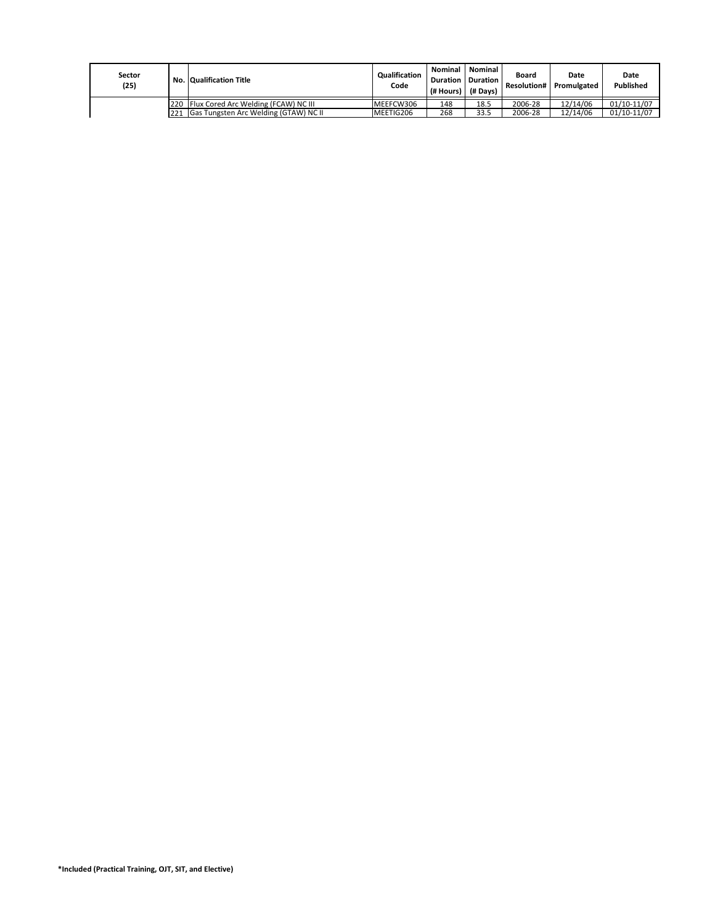| Sector<br>(25) |     | <b>No. Qualification Title</b>           | <b>Qualification</b><br>Code | Nominal<br><b>Duration</b><br>(# Hours)   (# Davs) | Nominal<br>Duration | Board<br><b>Resolution#</b> | Date<br>Promulgated | Date<br>Published |
|----------------|-----|------------------------------------------|------------------------------|----------------------------------------------------|---------------------|-----------------------------|---------------------|-------------------|
|                |     | 220 Flux Cored Arc Welding (FCAW) NC III | MEEFCW306                    | 148                                                | 18.5                | 2006-28                     | 12/14/06            | 01/10-11/07       |
|                | 221 | Gas Tungsten Arc Welding (GTAW) NC II    | MEETIG206                    | 268                                                | 33.5                | 2006-28                     | 12/14/06            | 01/10-11/07       |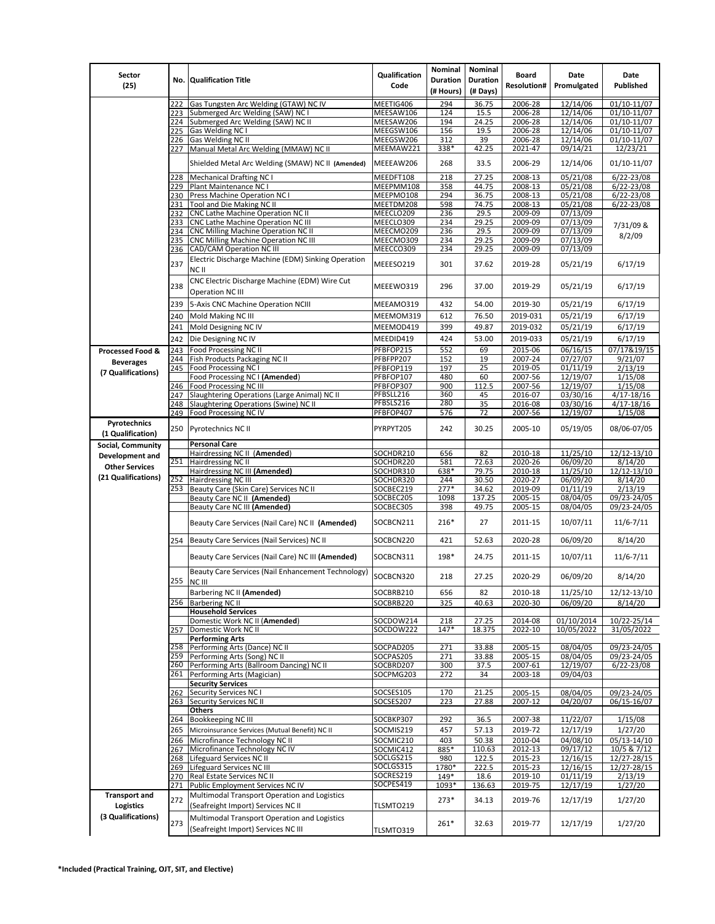| Sector                            |            |                                                                                     | Qualification          | Nominal                      | Nominal                     | <b>Board</b>       | Date                     | Date                             |
|-----------------------------------|------------|-------------------------------------------------------------------------------------|------------------------|------------------------------|-----------------------------|--------------------|--------------------------|----------------------------------|
| (25)                              |            | No. Qualification Title                                                             | Code                   | <b>Duration</b><br>(# Hours) | <b>Duration</b><br>(# Days) | <b>Resolution#</b> | Promulgated              | Published                        |
|                                   | 222        | Gas Tungsten Arc Welding (GTAW) NC IV                                               | MEETIG406              | 294                          | 36.75                       | 2006-28            | 12/14/06                 | 01/10-11/07                      |
|                                   | 223        | Submerged Arc Welding (SAW) NC I                                                    | MEESAW106              | 124                          | 15.5                        | 2006-28            | 12/14/06                 | 01/10-11/07                      |
|                                   | 224        | Submerged Arc Welding (SAW) NC II                                                   | MEESAW206              | 194                          | 24.25                       | 2006-28            | 12/14/06                 | 01/10-11/07                      |
|                                   | 225<br>226 | Gas Welding NC I<br>Gas Welding NC II                                               | MEEGSW106<br>MEEGSW206 | 156<br>312                   | 19.5<br>39                  | 2006-28<br>2006-28 | 12/14/06<br>12/14/06     | 01/10-11/07<br>01/10-11/07       |
|                                   |            | 227 Manual Metal Arc Welding (MMAW) NC II                                           | MEEMAW221              | 338*                         | 42.25                       | 2021-47            | 09/14/21                 | 12/23/21                         |
|                                   |            | Shielded Metal Arc Welding (SMAW) NC II (Amended)                                   | MEEEAW206              | 268                          | 33.5                        | 2006-29            | 12/14/06                 | 01/10-11/07                      |
|                                   | 228        | <b>Mechanical Drafting NC I</b>                                                     | MEEDFT108              | 218                          | 27.25                       | 2008-13            | 05/21/08                 | $6/22 - 23/08$                   |
|                                   |            | 229 Plant Maintenance NC I                                                          | MEEPMM108              | 358                          | 44.75                       | 2008-13            | 05/21/08                 | $6/22 - 23/08$                   |
|                                   | 231        | 230 Press Machine Operation NC I<br>Tool and Die Making NC II                       | MEEPMO108<br>MEETDM208 | 294<br>598                   | 36.75<br>74.75              | 2008-13<br>2008-13 | 05/21/08<br>05/21/08     | $6/22 - 23/08$<br>$6/22 - 23/08$ |
|                                   | 232        | CNC Lathe Machine Operation NC II                                                   | MEECLO209              | 236                          | 29.5                        | 2009-09            | 07/13/09                 |                                  |
|                                   | 233        | CNC Lathe Machine Operation NC III                                                  | MEECLO309              | 234                          | 29.25                       | 2009-09            | 07/13/09                 | 7/31/09 &                        |
|                                   | 234        | <b>CNC Milling Machine Operation NC II</b>                                          | MEECMO209              | 236                          | 29.5                        | 2009-09            | 07/13/09                 | 8/2/09                           |
|                                   | 235<br>236 | CNC Milling Machine Operation NC III<br><b>CAD/CAM Operation NC III</b>             | MEECMO309<br>MEECCO309 | 234<br>234                   | 29.25<br>29.25              | 2009-09<br>2009-09 | 07/13/09<br>07/13/09     |                                  |
|                                   |            | Electric Discharge Machine (EDM) Sinking Operation                                  |                        |                              |                             |                    |                          |                                  |
|                                   | 237        | NC II                                                                               | MEEESO219              | 301                          | 37.62                       | 2019-28            | 05/21/19                 | 6/17/19                          |
|                                   | 238        | CNC Electric Discharge Machine (EDM) Wire Cut<br><b>Operation NC III</b>            | MEEEW0319              | 296                          | 37.00                       | 2019-29            | 05/21/19                 | 6/17/19                          |
|                                   | 239        | 5-Axis CNC Machine Operation NCIII                                                  | MEEAMO319              | 432                          | 54.00                       | 2019-30            | 05/21/19                 | 6/17/19                          |
|                                   | 240        | Mold Making NC III                                                                  | MEEMOM319              | 612                          | 76.50                       | 2019-031           | 05/21/19                 | 6/17/19                          |
|                                   | 241        | Mold Designing NC IV                                                                | MEEMOD419              | 399                          | 49.87                       | 2019-032           | 05/21/19                 | 6/17/19                          |
|                                   | 242        | Die Designing NC IV                                                                 | MEEDID419              | 424                          | 53.00                       | 2019-033           | 05/21/19                 | 6/17/19                          |
| <b>Processed Food &amp;</b>       | 243        | Food Processing NC II                                                               | PFBFOP215              | 552                          | 69                          | 2015-06            | 06/16/15                 | 07/17&19/15                      |
| <b>Beverages</b>                  | 244<br>245 | Fish Products Packaging NC II<br>Food Processing NC I                               | PFBFPP207              | 152<br>197                   | 19<br>25                    | 2007-24<br>2019-05 | 07/27/07<br>01/11/19     | 9/21/07<br>2/13/19               |
| (7 Qualifications)                |            | Food Processing NC I (Amended)                                                      | PFBFOP119<br>PFBFOP107 | 480                          | 60                          | 2007-56            | 12/19/07                 | 1/15/08                          |
|                                   | 246        | Food Processing NC III                                                              | PFBFOP307              | 900                          | 112.5                       | 2007-56            | 12/19/07                 | 1/15/08                          |
|                                   | 247        | Slaughtering Operations (Large Animal) NC II                                        | PFBSLL216              | 360                          | 45                          | 2016-07            | 03/30/16                 | 4/17-18/16                       |
|                                   | 248        | Slaughtering Operations (Swine) NC II                                               | PFBSLS216              | 280                          | 35                          | 2016-08            | 03/30/16                 | 4/17-18/16                       |
|                                   | 249        | Food Processing NC IV                                                               | PFBFOP407              | 576                          | 72                          | 2007-56            | 12/19/07                 | 1/15/08                          |
| Pyrotechnics<br>(1 Qualification) | 250        | Pyrotechnics NC II                                                                  | PYRPYT205              | 242                          | 30.25                       | 2005-10            | 05/19/05                 | 08/06-07/05                      |
| Social, Community                 |            | <b>Personal Care</b>                                                                |                        |                              |                             |                    |                          |                                  |
| Development and                   |            | Hairdressing NC II (Amended)                                                        | SOCHDR210              | 656                          | 82                          | 2010-18            | 11/25/10                 | 12/12-13/10                      |
| <b>Other Services</b>             | 251        | Hairdressing NC II<br>Hairdressing NC III (Amended)                                 | SOCHDR220<br>SOCHDR310 | 581<br>638*                  | 72.63<br>79.75              | 2020-26<br>2010-18 | 06/09/20<br>11/25/10     | 8/14/20<br>12/12-13/10           |
| (21 Qualifications)               | 252        | Hairdressing NC III                                                                 | SOCHDR320              | 244                          | 30.50                       | 2020-27            | 06/09/20                 | 8/14/20                          |
|                                   | 253        | Beauty Care (Skin Care) Services NC II                                              | SOCBEC219              | $277*$                       | 34.62                       | 2019-09            | 01/11/19                 | 2/13/19                          |
|                                   |            | Beauty Care NC II (Amended)                                                         | SOCBEC205              | 1098                         | 137.25                      | 2005-15            | 08/04/05                 | 09/23-24/05                      |
|                                   |            | Beauty Care NC III (Amended)                                                        | SOCBEC305              | 398                          | 49.75                       | 2005-15            | 08/04/05                 | 09/23-24/05                      |
|                                   |            | Beauty Care Services (Nail Care) NC II (Amended)                                    | SOCBCN211              | 216*                         | 27                          | 2011-15            | 10/07/11                 | $11/6 - 7/11$                    |
|                                   | 254        | Beauty Care Services (Nail Services) NC II                                          | SOCBCN220              | 421                          | 52.63                       | 2020-28            | 06/09/20                 | 8/14/20                          |
|                                   |            | Beauty Care Services (Nail Care) NC III (Amended)                                   | SOCBCN311              | 198*                         | 24.75                       | 2011-15            | 10/07/11                 | $11/6 - 7/11$                    |
|                                   |            | Beauty Care Services (Nail Enhancement Technology)<br>255 NC III                    | SOCBCN320              | 218                          | 27.25                       | 2020-29            | 06/09/20                 | 8/14/20                          |
|                                   |            | Barbering NC II (Amended)                                                           | SOCBRB210              | 656                          | 82                          | 2010-18            | 11/25/10                 | 12/12-13/10                      |
|                                   |            | 256 Barbering NC II                                                                 | SOCBRB220              | 325                          | 40.63                       | 2020-30            | 06/09/20                 | 8/14/20                          |
|                                   |            | <b>Household Services</b>                                                           |                        |                              |                             |                    |                          |                                  |
|                                   | 257        | Domestic Work NC II (Amended)<br>Domestic Work NC II                                | SOCDOW214<br>SOCDOW222 | 218<br>147*                  | 27.25<br>18.375             | 2014-08<br>2022-10 | 01/10/2014<br>10/05/2022 | 10/22-25/14<br>31/05/2022        |
|                                   |            | <b>Performing Arts</b>                                                              |                        |                              |                             |                    |                          |                                  |
|                                   |            | 258 Performing Arts (Dance) NC II                                                   | SOCPAD205              | 271                          | 33.88                       | 2005-15            | 08/04/05                 | 09/23-24/05                      |
|                                   |            | 259 Performing Arts (Song) NC II                                                    | SOCPAS205              | 271                          | 33.88                       | 2005-15            | 08/04/05<br>12/19/07     | 09/23-24/05                      |
|                                   |            | 260 Performing Arts (Ballroom Dancing) NC II<br>261 Performing Arts (Magician)      | SOCBRD207<br>SOCPMG203 | 300<br>272                   | 37.5<br>34                  | 2007-61<br>2003-18 | 09/04/03                 | $6/22 - 23/08$                   |
|                                   |            | <b>Security Services</b>                                                            |                        |                              |                             |                    |                          |                                  |
|                                   | 262        | <b>Security Services NCI</b>                                                        | SOCSES105              | 170                          | 21.25                       | 2005-15            | 08/04/05                 | 09/23-24/05                      |
|                                   |            | 263 Security Services NC II                                                         | SOCSES207              | 223                          | 27.88                       | 2007-12            | 04/20/07                 | 06/15-16/07                      |
|                                   | 264        | Others<br>Bookkeeping NC III                                                        | SOCBKP307              | 292                          | 36.5                        | 2007-38            | 11/22/07                 | 1/15/08                          |
|                                   | 265        | Microinsurance Services (Mutual Benefit) NC II                                      | SOCMIS219              | 457                          | 57.13                       | 2019-72            | 12/17/19                 | 1/27/20                          |
|                                   | 266        | Microfinance Technology NC II                                                       | SOCMIC210              | 403                          | 50.38                       | 2010-04            | 04/08/10                 | 05/13-14/10                      |
|                                   | 267        | Microfinance Technology NC IV                                                       | SOCMIC412              | 885*                         | 110.63                      | 2012-13            | 09/17/12                 | 10/5 & 7/12                      |
|                                   |            | 268 Lifeguard Services NC II                                                        | SOCLGS215              | 980                          | 122.5                       | 2015-23            | 12/16/15                 | 12/27-28/15                      |
|                                   | 269        | Lifeguard Services NC III<br>270 Real Estate Services NC II                         | SOCLGS315<br>SOCRES219 | 1780*<br>149*                | 222.5<br>18.6               | 2015-23<br>2019-10 | 12/16/15<br>01/11/19     | 12/27-28/15<br>2/13/19           |
|                                   | 271        | Public Employment Services NC IV                                                    | SOCPES419              | 1093*                        | 136.63                      | 2019-75            | 12/17/19                 | 1/27/20                          |
| <b>Transport and</b>              | 272        | Multimodal Transport Operation and Logistics                                        |                        | $273*$                       | 34.13                       | 2019-76            | 12/17/19                 | 1/27/20                          |
| <b>Logistics</b>                  |            | (Seafreight Import) Services NC II                                                  | TLSMTO219              |                              |                             |                    |                          |                                  |
| (3 Qualifications)                | 273        | Multimodal Transport Operation and Logistics<br>(Seafreight Import) Services NC III | TLSMTO319              | 261*                         | 32.63                       | 2019-77            | 12/17/19                 | 1/27/20                          |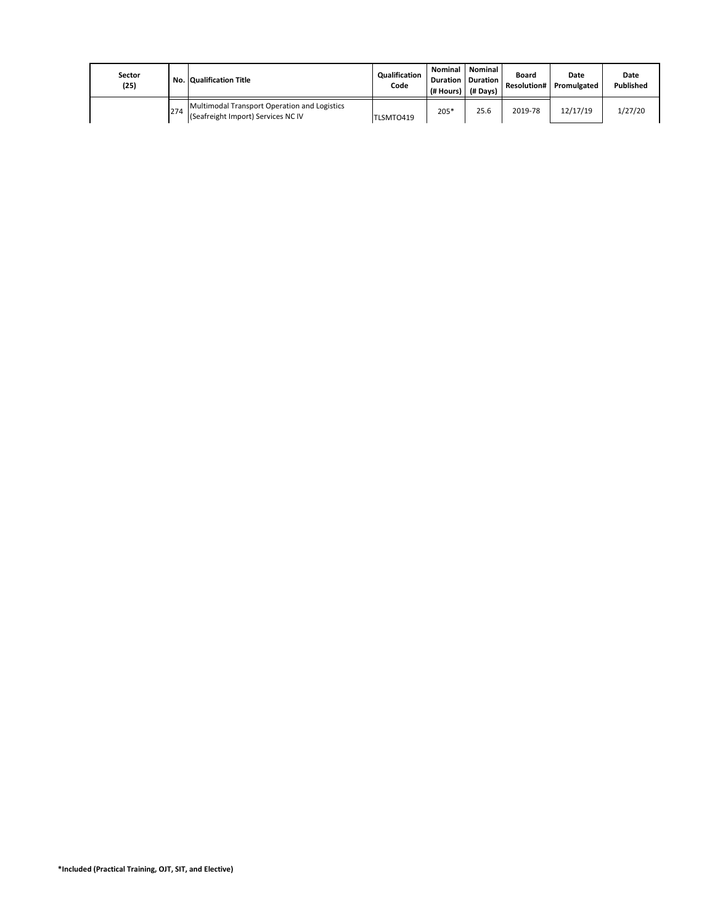| Sector<br>(25) |     | No. Qualification Title                                                            | Qualification<br>Code | (# Hours) | <b>Nominal   Nominal  </b><br><b>Duration   Duration  </b><br>(# Days) | Board<br><b>Resolution#</b> | Date<br>Promulgated | Date<br>Published |
|----------------|-----|------------------------------------------------------------------------------------|-----------------------|-----------|------------------------------------------------------------------------|-----------------------------|---------------------|-------------------|
|                | 274 | Multimodal Transport Operation and Logistics<br>(Seafreight Import) Services NC IV | TLSMTO419             | 205*      | 25.6                                                                   | 2019-78                     | 12/17/19            | 1/27/20           |